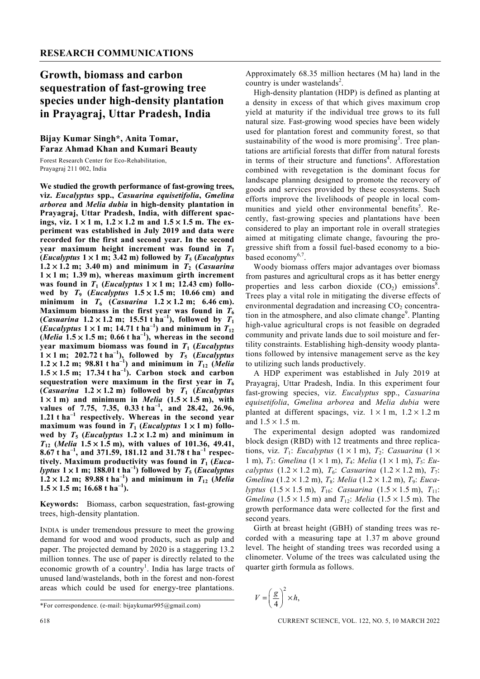## **Growth, biomass and carbon sequestration of fast-growing tree species under high-density plantation in Prayagraj, Uttar Pradesh, India**

## **Bijay Kumar Singh\*, Anita Tomar, Faraz Ahmad Khan and Kumari Beauty**

Forest Research Center for Eco-Rehabilitation, Prayagraj 211 002, India

**We studied the growth performance of fast-growing trees, viz.** *Eucalyptus* **spp.,** *Casuarina equisetifolia***,** *Gmelina arborea* **and** *Melia dubia* **in high-density plantation in Prayagraj, Uttar Pradesh, India, with different spacings, viz. 1** × **1 m, 1.2** × **1.2 m and 1.5** × **1.5 m. The experiment was established in July 2019 and data were recorded for the first and second year. In the second year maximum height increment was found in**  $T_1$ (*Eucalyptus*  $1 \times 1$  m; 3.42 m) followed by  $T_5$  (*Eucalyptus*  $1.2 \times 1.2$  m; 3.40 m) and minimum in  $T_2$  (*Casuarina*  $1 \times 1$  m; 1.39 m), whereas maximum girth increment was found in  $T_1$  (*Eucalyptus*  $1 \times 1$  m; 12.43 cm) followed by  $T_9$  (*Eucalyptus*  $1.5 \times 1.5$  m; 10.66 cm) and **minimum** in  $T_6$  (*Casuarina*  $1.2 \times 1.2$  m; 6.46 cm). Maximum biomass in the first year was found in  $\tilde{T}_6$ (*Casuarina*  $1.2 \times 1.2$  m; 15.51 t ha<sup>-1</sup>), followed by  $T_1$ (*Eucalyptus*  $1 \times 1$  m; 14.71 t ha<sup>-1</sup>) and minimum in  $T_{12}$ (*Melia*  $1.5 \times 1.5$  m; 0.66 t ha<sup>{-1}</sup>), whereas in the second **year maximum biomass was found in** *T***1 (***Eucalyptus*  $1 \times 1$  m; 202.72 t ha<sup>-1</sup>), followed by  $T_5$  (*Eucalyptus*  $1.2 \times 1.2$  m; 98.81 t ha<sup>-1</sup>) and minimum in  $T_{12}$  (*Melia*  $1.5 \times 1.5$  m; 17.34 t ha<sup>-1</sup>). Carbon stock and carbon sequestration were maximum in the first year in  $T_6$ (*Casuarina*  $1.2 \times 1.2$  m) followed by  $T_1$  (*Eucalyptus*  $1 \times 1$  m) and minimum in *Melia*  $(1.5 \times 1.5 \text{ m})$ , with **values of 7.75, 7.35, 0.33 t ha–1, and 28.42, 26.96, 1.21 t ha–1 respectively. Whereas in the second year maximum was found in**  $T_1$  **(***Eucalyptus* $1 \times 1$  **m) follo**wed by  $T_5$  (*Eucalyptus*  $1.2 \times 1.2$  m) and minimum in *T***12 (***Melia* **1.5** × **1.5 m), with values of 101.36, 49.41, 8.67 t ha–1, and 371.59, 181.12 and 31.78 t ha–1 respectively. Maximum productivity was found in** *T***1 (***Eucalyptus*  $1 \times 1$  m; 188.01 t ha<sup>-1</sup>) followed by  $T_5$  (*Eucalyptus*  $1.2 \times 1.2$  m; 89.88 t ha<sup>-1</sup>) and minimum in  $T_{12}$  (Melia  $1.5 \times 1.5$  m; 16.68 t ha<sup>-1</sup>).

**Keywords:** Biomass, carbon sequestration, fast-growing trees, high-density plantation.

INDIA is under tremendous pressure to meet the growing demand for wood and wood products, such as pulp and paper. The projected demand by 2020 is a staggering 13.2 million tonnes. The use of paper is directly related to the economic growth of a country<sup>1</sup>. India has large tracts of unused land/wastelands, both in the forest and non-forest areas which could be used for energy-tree plantations.

Approximately 68.35 million hectares (M ha) land in the country is under wastelands<sup>2</sup>.

 High-density plantation (HDP) is defined as planting at a density in excess of that which gives maximum crop yield at maturity if the individual tree grows to its full natural size. Fast-growing wood species have been widely used for plantation forest and community forest, so that sustainability of the wood is more promising<sup>3</sup>. Tree plantations are artificial forests that differ from natural forests in terms of their structure and functions<sup>4</sup>. Afforestation combined with revegetation is the dominant focus for landscape planning designed to promote the recovery of goods and services provided by these ecosystems. Such efforts improve the livelihoods of people in local communities and yield other environmental benefits<sup>5</sup>. Recently, fast-growing species and plantations have been considered to play an important role in overall strategies aimed at mitigating climate change, favouring the progressive shift from a fossil fuel-based economy to a biobased economy<sup>6,7</sup>.

 Woody biomass offers major advantages over biomass from pastures and agricultural crops as it has better energy properties and less carbon dioxide  $(CO_2)$  emissions<sup>8</sup>. Trees play a vital role in mitigating the diverse effects of environmental degradation and increasing  $CO<sub>2</sub>$  concentration in the atmosphere, and also climate change<sup>9</sup>. Planting high-value agricultural crops is not feasible on degraded community and private lands due to soil moisture and fertility constraints. Establishing high-density woody plantations followed by intensive management serve as the key to utilizing such lands productively.

 A HDP experiment was established in July 2019 at Prayagraj, Uttar Pradesh, India. In this experiment four fast-growing species, viz. *Eucalyptus* spp., *Casuarina equisetifolia*, *Gmelina arborea* and *Melia dubia* were planted at different spacings, viz.  $1 \times 1$  m,  $1.2 \times 1.2$  m and  $1.5 \times 1.5$  m.

 The experimental design adopted was randomized block design (RBD) with 12 treatments and three replications, viz.  $T_1$ : *Eucalyptus*  $(1 \times 1 \text{ m})$ ,  $T_2$ : *Casuarina*  $(1 \times$ 1 m), *T*3: *Gmelina* (1 × 1 m), *T*4: *Melia* (1 × 1 m), *T*5: *Eucalyptus*  $(1.2 \times 1.2 \text{ m})$ ,  $T_6$ : *Casuarina*  $(1.2 \times 1.2 \text{ m})$ ,  $T_7$ : *Gmelina* (1.2 × 1.2 m), *T*8: *Melia* (1.2 × 1.2 m), *T*9: *Eucalyptus*  $(1.5 \times 1.5 \text{ m})$ ,  $T_{10}$ : *Casuarina*  $(1.5 \times 1.5 \text{ m})$ ,  $T_{11}$ : *Gmelina* (1.5  $\times$  1.5 m) and  $T_{12}$ : *Melia* (1.5  $\times$  1.5 m). The growth performance data were collected for the first and second years.

 Girth at breast height (GBH) of standing trees was recorded with a measuring tape at 1.37 m above ground level. The height of standing trees was recorded using a clinometer. Volume of the trees was calculated using the quarter girth formula as follows.

$$
V = \left(\frac{g}{4}\right)^2 \times h,
$$

618 CURRENT SCIENCE, VOL. 122, NO. 5, 10 MARCH 2022

<sup>\*</sup>For correspondence. (e-mail: bijaykumar995@gmail.com)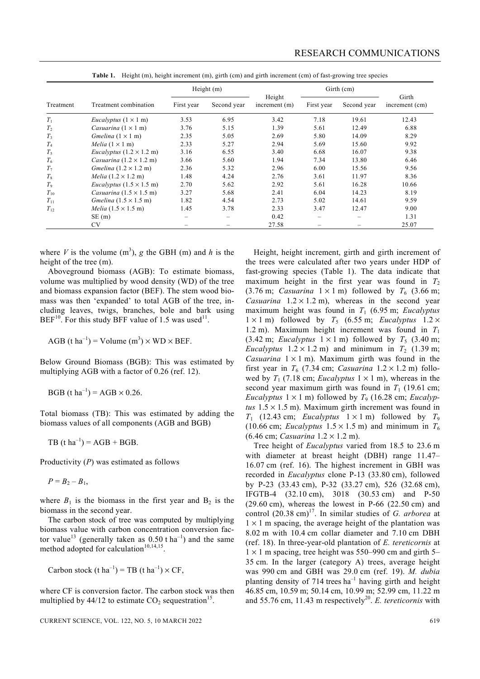|                | Treatment combination                          | Height $(m)$ |             |                           | Girth (cm) |             |                         |
|----------------|------------------------------------------------|--------------|-------------|---------------------------|------------|-------------|-------------------------|
| Treatment      |                                                | First year   | Second year | Height<br>increment $(m)$ | First year | Second year | Girth<br>increment (cm) |
| $T_1$          | <i>Eucalyptus</i> $(1 \times 1$ m)             | 3.53         | 6.95        | 3.42                      | 7.18       | 19.61       | 12.43                   |
| $T_2$          | Casuarina $(1 \times 1$ m)                     | 3.76         | 5.15        | 1.39                      | 5.61       | 12.49       | 6.88                    |
| T <sub>3</sub> | Gmelina $(1 \times 1$ m)                       | 2.35         | 5.05        | 2.69                      | 5.80       | 14.09       | 8.29                    |
| T <sub>4</sub> | Melia $(1 \times 1$ m)                         | 2.33         | 5.27        | 2.94                      | 5.69       | 15.60       | 9.92                    |
| $T_5$          | <i>Eucalyptus</i> $(1.2 \times 1.2 \text{ m})$ | 3.16         | 6.55        | 3.40                      | 6.68       | 16.07       | 9.38                    |
| $T_6$          | Casuarina $(1.2 \times 1.2 \text{ m})$         | 3.66         | 5.60        | 1.94                      | 7.34       | 13.80       | 6.46                    |
| T <sub>7</sub> | Gmelina $(1.2 \times 1.2 \text{ m})$           | 2.36         | 5.32        | 2.96                      | 6.00       | 15.56       | 9.56                    |
| $T_8$          | Melia $(1.2 \times 1.2 \text{ m})$             | 1.48         | 4.24        | 2.76                      | 3.61       | 11.97       | 8.36                    |
| $T_{9}$        | Eucalyptus $(1.5 \times 1.5 \text{ m})$        | 2.70         | 5.62        | 2.92                      | 5.61       | 16.28       | 10.66                   |
| $T_{10}$       | Casuarina $(1.5 \times 1.5 \text{ m})$         | 3.27         | 5.68        | 2.41                      | 6.04       | 14.23       | 8.19                    |
| $T_{11}$       | Gmelina $(1.5 \times 1.5 \text{ m})$           | 1.82         | 4.54        | 2.73                      | 5.02       | 14.61       | 9.59                    |
| $T_{12}$       | Melia $(1.5 \times 1.5 \text{ m})$             | 1.45         | 3.78        | 2.33                      | 3.47       | 12.47       | 9.00                    |
|                | SE(m)                                          |              |             | 0.42                      |            |             | 1.31                    |
|                | <b>CV</b>                                      |              |             | 27.58                     |            |             | 25.07                   |

**Table 1.** Height (m), height increment (m), girth (cm) and girth increment (cm) of fast-growing tree species

where *V* is the volume  $(m^3)$ , *g* the GBH  $(m)$  and *h* is the height of the tree (m).

 Aboveground biomass (AGB): To estimate biomass, volume was multiplied by wood density (WD) of the tree and biomass expansion factor (BEF). The stem wood biomass was then 'expanded' to total AGB of the tree, including leaves, twigs, branches, bole and bark using  $BEF<sup>10</sup>$ . For this study BFF value of 1.5 was used<sup>11</sup>.

AGB (t ha<sup>-1</sup>) = Volume (m<sup>3</sup>) × WD × BEF.

Below Ground Biomass (BGB): This was estimated by multiplying AGB with a factor of 0.26 (ref. 12).

 $BGB (t ha^{-1}) = AGB \times 0.26$ .

Total biomass (TB): This was estimated by adding the biomass values of all components (AGB and BGB)

TB  $(t \text{ ha}^{-1}) = \text{AGB} + \text{BGB}.$ 

Productivity (*P*) was estimated as follows

 $P = B_2 - B_1$ ,

where  $B_1$  is the biomass in the first year and  $B_2$  is the biomass in the second year.

 The carbon stock of tree was computed by multiplying biomass value with carbon concentration conversion factor value<sup>13</sup> (generally taken as  $0.50$  t ha<sup>-1</sup>) and the same method adopted for calculation<sup>10,14,15</sup>.

Carbon stock (t ha<sup>-1</sup>) = TB (t ha<sup>-1</sup>)  $\times$  CF,

where CF is conversion factor. The carbon stock was then multiplied by  $44/12$  to estimate  $CO<sub>2</sub>$  sequestration<sup>15</sup>.

 Height, height increment, girth and girth increment of the trees were calculated after two years under HDP of fast-growing species (Table 1). The data indicate that maximum height in the first year was found in  $T_2$ (3.76 m; *Casuarina*  $1 \times 1$  m) followed by  $T_6$  (3.66 m; *Casuarina*  $1.2 \times 1.2$  m), whereas in the second year maximum height was found in *T*1 (6.95 m; *Eucalyptus*  $1 \times 1$  m) followed by  $T_5$  (6.55 m; *Eucalyptus*  $1.2 \times$ 1.2 m). Maximum height increment was found in  $T_1$ (3.42 m; *Eucalyptus*  $1 \times 1$  m) followed by  $T_5$  (3.40 m; *Eucalyptus*  $1.2 \times 1.2$  m) and minimum in  $T_2$  (1.39 m; *Casuarina*  $1 \times 1$  m). Maximum girth was found in the first year in  $T_6$  (7.34 cm; *Casuarina*  $1.2 \times 1.2$  m) followed by  $T_1$  (7.18 cm; *Eucalyptus*  $1 \times 1$  m), whereas in the second year maximum girth was found in  $T_1$  (19.61 cm; *Eucalyptus*  $1 \times 1$  m) followed by  $T_9$  (16.28 cm; *Eucalyptus*  $1.5 \times 1.5$  m). Maximum girth increment was found in  $T_1$  (12.43 cm; *Eucalyptus*  $1 \times 1$  m) followed by  $T_9$ (10.66 cm; *Eucalyptus*  $1.5 \times 1.5$  m) and minimum in  $T_6$ (6.46 cm; *Casuarina* 1.2 × 1.2 m).

 Tree height of *Eucalyptus* varied from 18.5 to 23.6 m with diameter at breast height (DBH) range 11.47– 16.07 cm (ref. 16). The highest increment in GBH was recorded in *Eucalyptus* clone P-13 (33.80 cm), followed by P-23 (33.43 cm), P-32 (33.27 cm), 526 (32.68 cm), IFGTB-4 (32.10 cm), 3018 (30.53 cm) and P-50  $(29.60 \text{ cm})$ , whereas the lowest in P-66  $(22.50 \text{ cm})$  and control (20.38 cm)17. In similar studies of *G. arborea* at  $1 \times 1$  m spacing, the average height of the plantation was 8.02 m with 10.4 cm collar diameter and 7.10 cm DBH (ref. 18). In three-year-old plantation of *E. tereticornis* at  $1 \times 1$  m spacing, tree height was 550–990 cm and girth 5– 35 cm. In the larger (category A) trees, average height was 990 cm and GBH was 29.0 cm (ref. 19). *M. dubia*  planting density of 714 trees  $ha^{-1}$  having girth and height 46.85 cm, 10.59 m; 50.14 cm, 10.99 m; 52.99 cm, 11.22 m and 55.76 cm, 11.43 m respectively<sup>20</sup>. *E. tereticornis* with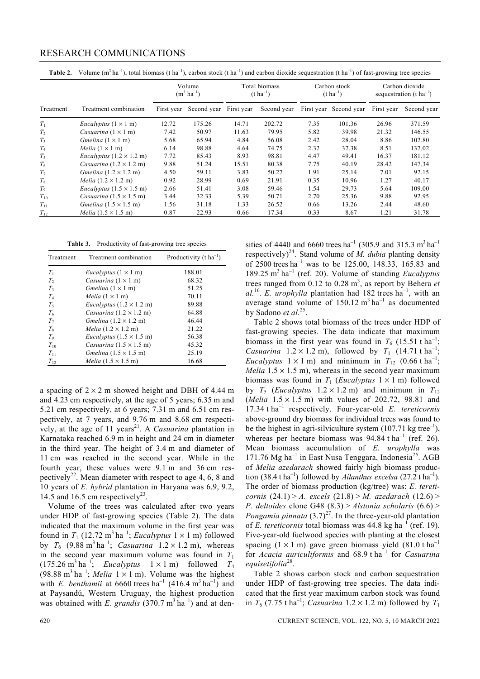## RESEARCH COMMUNICATIONS

|  |  |  |  |  |  | Table 2. Volume $(m^3 \text{ ha}^{-1})$ , total biomass (t ha <sup>-1</sup> ), carbon stock (t ha <sup>-1</sup> ) and carbon dioxide sequestration (t ha <sup>-1</sup> ) of fast-growing tree species |
|--|--|--|--|--|--|-------------------------------------------------------------------------------------------------------------------------------------------------------------------------------------------------------|
|--|--|--|--|--|--|-------------------------------------------------------------------------------------------------------------------------------------------------------------------------------------------------------|

|                |                                                | Volume<br>$(m^3 \text{ ha}^{-1})$ |             | Total biomass<br>$(t \text{ ha}^{-1})$ |             | Carbon stock<br>$(t \text{ ha}^{-1})$ |                        | Carbon dioxide<br>sequestration (t $ha^{-1}$ ) |             |
|----------------|------------------------------------------------|-----------------------------------|-------------|----------------------------------------|-------------|---------------------------------------|------------------------|------------------------------------------------|-------------|
| Treatment      | Treatment combination                          | First year                        | Second year | First year                             | Second year |                                       | First year Second year | First year                                     | Second year |
| $T_1$          | <i>Eucalyptus</i> $(1 \times 1$ m)             | 12.72                             | 175.26      | 14.71                                  | 202.72      | 7.35                                  | 101.36                 | 26.96                                          | 371.59      |
| T <sub>2</sub> | Casuarina $(1 \times 1$ m)                     | 7.42                              | 50.97       | 11.63                                  | 79.95       | 5.82                                  | 39.98                  | 21.32                                          | 146.55      |
| T <sub>3</sub> | Gmelina $(1 \times 1$ m)                       | 5.68                              | 65.94       | 4.84                                   | 56.08       | 2.42                                  | 28.04                  | 8.86                                           | 102.80      |
| $T_{4}$        | <i>Melia</i> $(1 \times 1$ m)                  | 6.14                              | 98.88       | 4.64                                   | 74.75       | 2.32                                  | 37.38                  | 8.51                                           | 137.02      |
| $T_5$          | <i>Eucalyptus</i> $(1.2 \times 1.2 \text{ m})$ | 7.72                              | 85.43       | 8.93                                   | 98.81       | 4.47                                  | 49.41                  | 16.37                                          | 181.12      |
| T <sub>6</sub> | Casuarina $(1.2 \times 1.2 \text{ m})$         | 9.88                              | 51.24       | 15.51                                  | 80.38       | 7.75                                  | 40.19                  | 28.42                                          | 147.34      |
| T <sub>7</sub> | Gmelina $(1.2 \times 1.2 \text{ m})$           | 4.50                              | 59.11       | 3.83                                   | 50.27       | 1.91                                  | 25.14                  | 7.01                                           | 92.15       |
| $T_8$          | <i>Melia</i> $(1.2 \times 1.2 \text{ m})$      | 0.92                              | 28.99       | 0.69                                   | 21.91       | 0.35                                  | 10.96                  | 1.27                                           | 40.17       |
| T <sub>9</sub> | <i>Eucalyptus</i> $(1.5 \times 1.5 \text{ m})$ | 2.66                              | 51.41       | 3.08                                   | 59.46       | 1.54                                  | 29.73                  | 5.64                                           | 109.00      |
| $T_{10}$       | Casuarina $(1.5 \times 1.5 \text{ m})$         | 3.44                              | 32.33       | 5.39                                   | 50.71       | 2.70                                  | 25.36                  | 9.88                                           | 92.95       |
| $T_{11}$       | Gmelina $(1.5 \times 1.5 \text{ m})$           | 1.56                              | 31.18       | 1.33                                   | 26.52       | 0.66                                  | 13.26                  | 2.44                                           | 48.60       |
| $T_{12}$       | Melia $(1.5 \times 1.5 \text{ m})$             | 0.87                              | 22.93       | 0.66                                   | 17.34       | 0.33                                  | 8.67                   | 1.21                                           | 31.78       |

**Table 3.** Productivity of fast-growing tree species

| Treatment      | Treatment combination                          | Productivity (t $ha^{-1}$ ) |
|----------------|------------------------------------------------|-----------------------------|
| $T_1$          | <i>Eucalyptus</i> $(1 \times 1$ m)             | 188.01                      |
| T <sub>2</sub> | Casuarina $(1 \times 1$ m)                     | 68.32                       |
| T <sub>3</sub> | <i>Gmelina</i> $(1 \times 1$ m)                | 51.25                       |
| $T_{4}$        | <i>Melia</i> $(1 \times 1$ m)                  | 70.11                       |
| $T_5$          | <i>Eucalyptus</i> $(1.2 \times 1.2 \text{ m})$ | 89.88                       |
| T <sub>6</sub> | Casuarina $(1.2 \times 1.2 \text{ m})$         | 64.88                       |
| T <sub>7</sub> | Gmelina $(1.2 \times 1.2 \text{ m})$           | 46.44                       |
| $T_{8}$        | Melia $(1.2 \times 1.2 \text{ m})$             | 21.22                       |
| $T_{\rm o}$    | <i>Eucalyptus</i> $(1.5 \times 1.5 \text{ m})$ | 56.38                       |
| $T_{10}$       | Casuarina $(1.5 \times 1.5 \text{ m})$         | 45.32                       |
| $T_{11}$       | Gmelina $(1.5 \times 1.5 \text{ m})$           | 25.19                       |
| $T_{12}$       | Melia $(1.5 \times 1.5 \text{ m})$             | 16.68                       |

a spacing of  $2 \times 2$  m showed height and DBH of 4.44 m and 4.23 cm respectively, at the age of 5 years; 6.35 m and 5.21 cm respectively, at 6 years; 7.31 m and 6.51 cm respectively, at 7 years, and 9.76 m and 8.68 cm respectively, at the age of 11 years<sup>21</sup>. A *Casuarina* plantation in Karnataka reached 6.9 m in height and 24 cm in diameter in the third year. The height of 3.4 m and diameter of 11 cm was reached in the second year. While in the fourth year, these values were 9.1 m and 36 cm respectively<sup>22</sup>. Mean diameter with respect to age 4, 6, 8 and 10 years of *E. hybrid* plantation in Haryana was 6.9, 9.2, 14.5 and 16.5 cm respectively<sup>23</sup>.

 Volume of the trees was calculated after two years under HDP of fast-growing species (Table 2). The data indicated that the maximum volume in the first year was found in  $T_1$  (12.72 m<sup>3</sup> ha<sup>-1</sup>; *Eucalyptus*  $1 \times 1$  m) followed by  $T_6$  (9.88 m<sup>3</sup> ha<sup>-1</sup>; *Casuarina* 1.2 × 1.2 m), whereas in the second year maximum volume was found in  $T_1$  $(175.26 \text{ m}^3 \text{ ha}^{-1})$ ; *Eucalyptus*  $1 \times 1 \text{ m}$ ) followed  $T_4$ (98.88 m<sup>3</sup> ha<sup>-1</sup>; *Melia*  $1 \times 1$  m). Volume was the highest with *E. benthamii* at 6660 trees ha<sup>-1</sup> (416.4 m<sup>3</sup> ha<sup>-1</sup>) and at Paysandú, Western Uruguay, the highest production was obtained with *E. grandis* (370.7 m<sup>3</sup> ha<sup>-1</sup>) and at densities of 4440 and 6660 trees ha<sup>-1</sup> (305.9 and 315.3 m<sup>3</sup> ha<sup>-1</sup> respectively)<sup>24</sup>. Stand volume of  $\dot{M}$ . dubia planting density of 2500 trees ha<sup>-1</sup> was to be 125.00, 148.33, 165.83 and 189.25 m3 ha–1 (ref. 20). Volume of standing *Eucalyptus* trees ranged from  $0.12$  to  $0.28$  m<sup>3</sup>, as report by Behera *et*  $a l^{16}$ . *E. urophylla* plantation had 182 trees ha<sup>-1</sup>, with an average stand volume of  $150.12 \text{ m}^3 \text{ ha}^{-1}$  as documented by Sadono *et al.*25.

 Table 2 shows total biomass of the trees under HDP of fast-growing species. The data indicate that maximum biomass in the first year was found in  $T_6$  (15.51 t ha<sup>-1</sup>; *Casuarina*  $1.2 \times 1.2$  m), followed by  $T_1$  (14.71 t ha<sup>-1</sup>; *Eucalyptus*  $1 \times 1$  m) and minimum in  $T_{12}$  (0.66 t ha<sup>-1</sup>; *Melia*  $1.5 \times 1.5$  m), whereas in the second year maximum biomass was found in  $T_1$  (*Eucalyptus*  $1 \times 1$  m) followed by  $T_5$  (*Eucalyptus*  $1.2 \times 1.2$  m) and minimum in  $T_{12}$ (*Melia* 1.5 × 1.5 m) with values of 202.72, 98.81 and 17.34 t ha–1 respectively. Four-year-old *E. tereticornis*  above-ground dry biomass for individual trees was found to be the highest in agri-silviculture system  $(107.71 \text{ kg tree}^{-1})$ . whereas per hectare biomass was  $94.84$  t ha<sup>-1</sup> (ref. 26). Mean biomass accumulation of *E. urophylla* was 171.76 Mg ha<sup>-1</sup> in East Nusa Tenggara, Indonesia<sup>25</sup>. AGB of *Melia azedarach* showed fairly high biomass production (38.4 t ha<sup>-1</sup>) followed by *Ailanthus excelsa* (27.2 t ha<sup>-1</sup>). The order of biomass production (kg/tree) was: *E. tereticornis* (24.1) > *A. excels* (21.8) > *M. azedarach* (12.6) > *P. deltoides* clone G48 (8.3) > *Alstonia scholaris* (6.6) > *Pongamia pinnata*  $(3.7)^{27}$ . In the three-year-old plantation of *E. tereticornis* total biomass was  $44.8 \text{ kg ha}^{-1}$  (ref. 19). Five-year-old fuelwood species with planting at the closest spacing  $(1 \times 1 \text{ m})$  gave green biomass yield  $(81.0 \text{ t} \text{ ha}^{-1})$ for *Acacia auriculiformis* and 68.9 t ha–1 for *Casuarina equisetifolia*28.

 Table 2 shows carbon stock and carbon sequestration under HDP of fast-growing tree species. The data indicated that the first year maximum carbon stock was found in  $T_6$  (7.75 t ha<sup>-1</sup>; *Casuarina* 1.2 × 1.2 m) followed by  $T_1$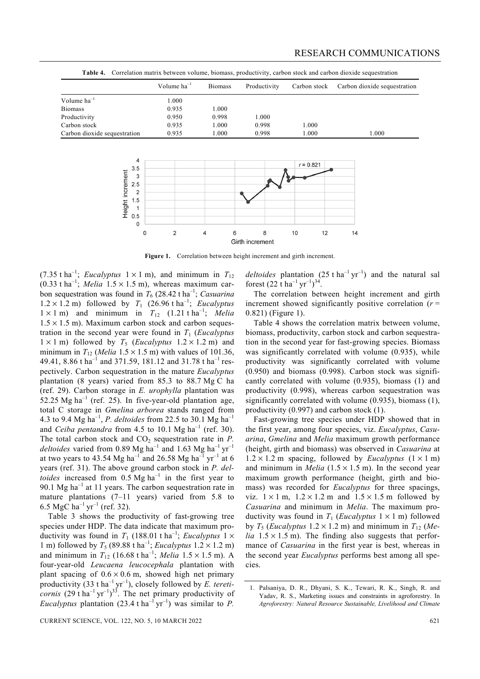|                              | Volume $ha^{-1}$ | <b>Biomass</b> | Productivity | Carbon stock | Carbon dioxide sequestration |
|------------------------------|------------------|----------------|--------------|--------------|------------------------------|
| Volume $ha^{-1}$             | .000             |                |              |              |                              |
| <b>Biomass</b>               | 0.935            | 1.000          |              |              |                              |
| Productivity                 | 0.950            | 0.998          | 1.000        |              |                              |
| Carbon stock                 | 0.935            | 1.000          | 0.998        | 1.000        |                              |
| Carbon dioxide sequestration | 0.935            | 1.000          | 0.998        | 1.000        | 1.000                        |

Table 4. Correlation matrix between volume, biomass, productivity, carbon stock and carbon dioxide sequestration



**Figure 1.** Correlation between height increment and girth increment.

(7.35 t ha<sup>-1</sup>; *Eucalyptus*  $1 \times 1$  m), and minimum in  $T_{12}$  $(0.33 \text{ t} \text{ ha}^{-1})$ ; *Melia*  $1.5 \times 1.5$  m), whereas maximum carbon sequestration was found in  $T_6$  (28.42 t ha<sup>-1</sup>; *Casuarina*  $1.2 \times 1.2$  m) followed by  $T_1$  (26.96 t ha<sup>-1</sup>; *Eucalyptus*  $1 \times 1$  m) and minimum in  $T_{12}$  (1.21 t ha<sup>-1</sup>; *Melia*  $1.5 \times 1.5$  m). Maximum carbon stock and carbon sequestration in the second year were found in *T*1 (*Eucalyptus*  $1 \times 1$  m) followed by  $T_5$  (*Eucalyptus*  $1.2 \times 1.2$  m) and minimum in  $T_{12}$  (*Melia* 1.5 × 1.5 m) with values of 101.36, 49.41, 8.86 t ha<sup>-1</sup> and 371.59, 181.12 and 31.78 t ha<sup>-1</sup> respectively. Carbon sequestration in the mature *Eucalyptus*  plantation (8 years) varied from 85.3 to 88.7 Mg C ha (ref. 29). Carbon storage in *E. urophylla* plantation was 52.25 Mg ha<sup>-1</sup> (ref. 25). In five-year-old plantation age, total C storage in *Gmelina arborea* stands ranged from 4.3 to 9.4 Mg ha–1, *P. deltoides* from 22.5 to 30.1 Mg ha–1 and *Ceiba pentandra* from 4.5 to 10.1 Mg ha<sup>-1</sup> (ref. 30). The total carbon stock and  $CO<sub>2</sub>$  sequestration rate in *. deltoides* varied from 0.89 Mg ha<sup>-1</sup> and 1.63 Mg ha<sup>-1</sup> yr<sup>-1</sup> at two years to 43.54 Mg ha<sup>-1</sup> and 26.58 Mg ha<sup>-1</sup> yr<sup>-1</sup> at 6 years (ref. 31). The above ground carbon stock in *P. deltoides* increased from  $0.5 \text{ Mg ha}^{-1}$  in the first year to 90.1 Mg ha<sup>-1</sup> at 11 years. The carbon sequestration rate in mature plantations  $(7-11$  years) varied from 5.8 to 6.5 MgC ha<sup>-1</sup> yr<sup>-1</sup> (ref. 32).

 Table 3 shows the productivity of fast-growing tree species under HDP. The data indicate that maximum productivity was found in  $T_1$  (188.01 t ha<sup>-1</sup>; *Eucalyptus* 1  $\times$ 1 m) followed by  $T_5$  (89.88 t ha<sup>-1</sup>; *Eucalyptus*  $1.2 \times 1.2$  m) and minimum in  $T_{12}$  (16.68 t ha<sup>-1</sup>; *Melia* 1.5 × 1.5 m). A four-year-old *Leucaena leucocephala* plantation with plant spacing of  $0.6 \times 0.6$  m, showed high net primary productivity (33 t ha<sup>-1</sup> yr<sup>-1</sup>), closely followed by *E. tereticornis* (29 t ha<sup>-1</sup> yr<sup>-1</sup>)<sup>33</sup>. The net primary productivity of *Eucalyptus* plantation (23.4 t ha<sup>-1</sup> yr<sup>-1</sup>) was similar to *P*.

*deltoides* plantation  $(25 \text{ t} \text{ ha}^{-1} \text{ yr}^{-1})$  and the natural sal forest  $(22 \text{ t} \text{ ha}^{-1} \text{ yr}^{-1})^{34}$ .

 The correlation between height increment and girth increment showed significantly positive correlation  $(r =$ 0.821) (Figure 1).

 Table 4 shows the correlation matrix between volume, biomass, productivity, carbon stock and carbon sequestration in the second year for fast-growing species. Biomass was significantly correlated with volume (0.935), while productivity was significantly correlated with volume (0.950) and biomass (0.998). Carbon stock was significantly correlated with volume (0.935), biomass (1) and productivity (0.998), whereas carbon sequestration was significantly correlated with volume (0.935), biomass (1), productivity (0.997) and carbon stock (1).

 Fast-growing tree species under HDP showed that in the first year, among four species, viz. *Eucalyptus*, *Casuarina*, *Gmelina* and *Melia* maximum growth performance (height, girth and biomass) was observed in *Casuarina* at  $1.2 \times 1.2$  m spacing, followed by *Eucalyptus*  $(1 \times 1$  m) and minimum in *Melia*  $(1.5 \times 1.5 \text{ m})$ . In the second year maximum growth performance (height, girth and biomass) was recorded for *Eucalyptus* for three spacings, viz.  $1 \times 1$  m,  $1.2 \times 1.2$  m and  $1.5 \times 1.5$  m followed by *Casuarina* and minimum in *Melia*. The maximum productivity was found in  $T_1$  (*Eucalyptus*  $1 \times 1$  m) followed by  $T_5$  (*Eucalyptus* 1.2  $\times$  1.2 m) and minimum in  $T_{12}$  (*Melia*  $1.5 \times 1.5$  m). The finding also suggests that performance of *Casuarina* in the first year is best, whereas in the second year *Eucalyptus* performs best among all species.

<sup>1.</sup> Palsaniya, D. R., Dhyani, S. K., Tewari, R. K., Singh, R. and Yadav, R. S., Marketing issues and constraints in agroforestry. In *Agroforestry: Natural Resource Sustainable, Livelihood and Climate*